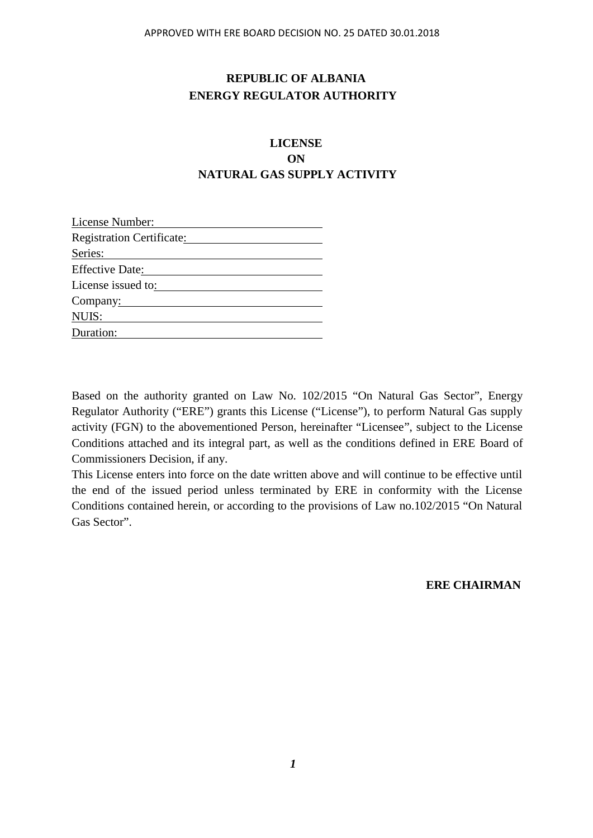## **REPUBLIC OF ALBANIA ENERGY REGULATOR AUTHORITY**

# **LICENSE ON NATURAL GAS SUPPLY ACTIVITY**

| License Number:           |  |
|---------------------------|--|
| Registration Certificate: |  |
| Series:                   |  |
| <b>Effective Date:</b>    |  |
| License issued to:        |  |
| Company:                  |  |
| NUIS:                     |  |
| Duration:                 |  |

Based on the authority granted on Law No. 102/2015 "On Natural Gas Sector", Energy Regulator Authority ("ERE") grants this License ("License"), to perform Natural Gas supply activity (FGN) to the abovementioned Person, hereinafter "Licensee", subject to the License Conditions attached and its integral part, as well as the conditions defined in ERE Board of Commissioners Decision, if any.

This License enters into force on the date written above and will continue to be effective until the end of the issued period unless terminated by ERE in conformity with the License Conditions contained herein, or according to the provisions of Law no.102/2015 "On Natural Gas Sector".

**ERE CHAIRMAN**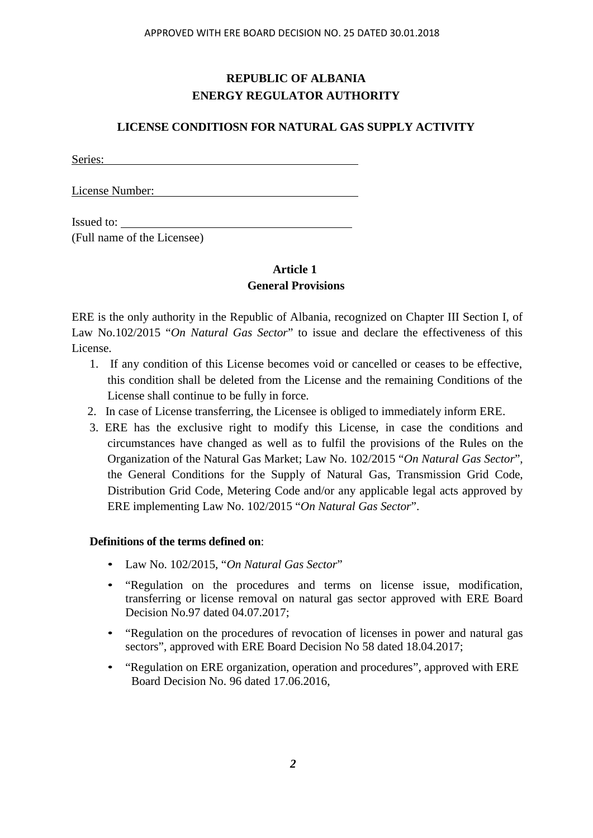# **REPUBLIC OF ALBANIA ENERGY REGULATOR AUTHORITY**

## **LICENSE CONDITIOSN FOR NATURAL GAS SUPPLY ACTIVITY**

Series:

License Number:

Issued to: (Full name of the Licensee)

## **Article 1 General Provisions**

ERE is the only authority in the Republic of Albania, recognized on Chapter III Section I, of Law No.102/2015 "*On Natural Gas Sector*" to issue and declare the effectiveness of this License.

- 1. If any condition of this License becomes void or cancelled or ceases to be effective, this condition shall be deleted from the License and the remaining Conditions of the License shall continue to be fully in force.
- 2. In case of License transferring, the Licensee is obliged to immediately inform ERE.
- 3. ERE has the exclusive right to modify this License, in case the conditions and circumstances have changed as well as to fulfil the provisions of the Rules on the Organization of the Natural Gas Market; Law No. 102/2015 "*On Natural Gas Sector*", the General Conditions for the Supply of Natural Gas, Transmission Grid Code, Distribution Grid Code, Metering Code and/or any applicable legal acts approved by ERE implementing Law No. 102/2015 "*On Natural Gas Sector*".

### **Definitions of the terms defined on**:

- Law No. 102/2015, "*On Natural Gas Sector*"
- "Regulation on the procedures and terms on license issue, modification, transferring or license removal on natural gas sector approved with ERE Board Decision No.97 dated 04.07.2017;
- "Regulation on the procedures of revocation of licenses in power and natural gas sectors", approved with ERE Board Decision No 58 dated 18.04.2017;
- "Regulation on ERE organization, operation and procedures", approved with ERE Board Decision No. 96 dated 17.06.2016,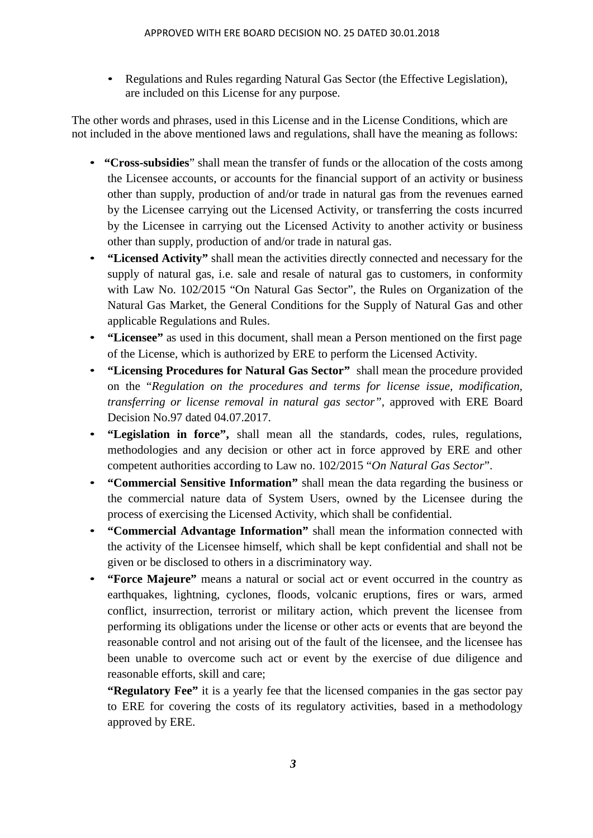• Regulations and Rules regarding Natural Gas Sector (the Effective Legislation), are included on this License for any purpose.

The other words and phrases, used in this License and in the License Conditions, which are not included in the above mentioned laws and regulations, shall have the meaning as follows:

- **"Cross-subsidies**" shall mean the transfer of funds or the allocation of the costs among the Licensee accounts, or accounts for the financial support of an activity or business other than supply, production of and/or trade in natural gas from the revenues earned by the Licensee carrying out the Licensed Activity, or transferring the costs incurred by the Licensee in carrying out the Licensed Activity to another activity or business other than supply, production of and/or trade in natural gas.
- **"Licensed Activity"** shall mean the activities directly connected and necessary for the supply of natural gas, i.e. sale and resale of natural gas to customers, in conformity with Law No. 102/2015 "On Natural Gas Sector", the Rules on Organization of the Natural Gas Market, the General Conditions for the Supply of Natural Gas and other applicable Regulations and Rules.
- **"Licensee"** as used in this document, shall mean a Person mentioned on the first page of the License, which is authorized by ERE to perform the Licensed Activity.
- **"Licensing Procedures for Natural Gas Sector"** shall mean the procedure provided on the "*Regulation on the procedures and terms for license issue, modification, transferring or license removal in natural gas sector"*, approved with ERE Board Decision No.97 dated 04.07.2017.
- **"Legislation in force",** shall mean all the standards, codes, rules, regulations, methodologies and any decision or other act in force approved by ERE and other competent authorities according to Law no. 102/2015 "*On Natural Gas Sector*".
- **"Commercial Sensitive Information"** shall mean the data regarding the business or the commercial nature data of System Users, owned by the Licensee during the process of exercising the Licensed Activity, which shall be confidential.
- **"Commercial Advantage Information"** shall mean the information connected with the activity of the Licensee himself, which shall be kept confidential and shall not be given or be disclosed to others in a discriminatory way.
- **"Force Majeure"** means a natural or social act or event occurred in the country as earthquakes, lightning, cyclones, floods, volcanic eruptions, fires or wars, armed conflict, insurrection, terrorist or military action, which prevent the licensee from performing its obligations under the license or other acts or events that are beyond the reasonable control and not arising out of the fault of the licensee, and the licensee has been unable to overcome such act or event by the exercise of due diligence and reasonable efforts, skill and care;

**"Regulatory Fee"** it is a yearly fee that the licensed companies in the gas sector pay to ERE for covering the costs of its regulatory activities, based in a methodology approved by ERE.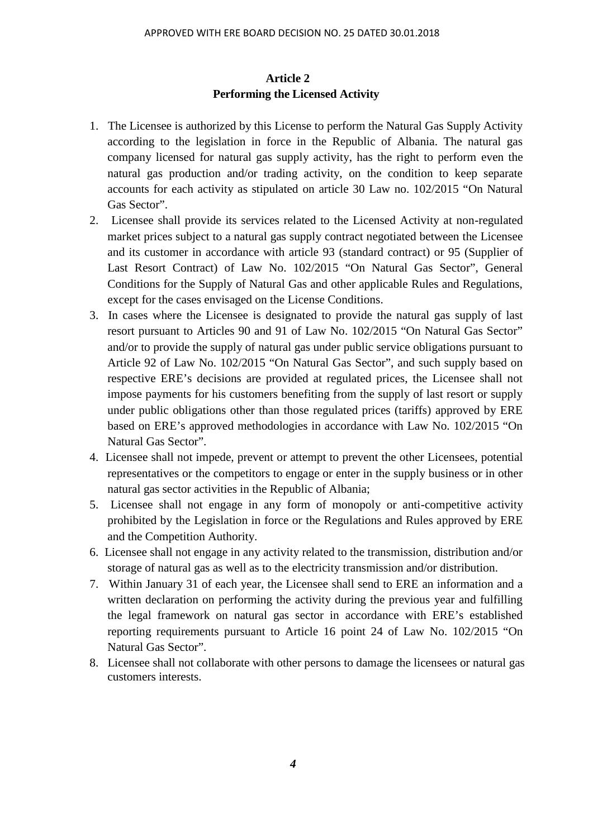## **Article 2 Performing the Licensed Activity**

- 1. The Licensee is authorized by this License to perform the Natural Gas Supply Activity according to the legislation in force in the Republic of Albania. The natural gas company licensed for natural gas supply activity, has the right to perform even the natural gas production and/or trading activity, on the condition to keep separate accounts for each activity as stipulated on article 30 Law no. 102/2015 "On Natural Gas Sector".
- 2. Licensee shall provide its services related to the Licensed Activity at non-regulated market prices subject to a natural gas supply contract negotiated between the Licensee and its customer in accordance with article 93 (standard contract) or 95 (Supplier of Last Resort Contract) of Law No. 102/2015 "On Natural Gas Sector", General Conditions for the Supply of Natural Gas and other applicable Rules and Regulations, except for the cases envisaged on the License Conditions.
- 3. In cases where the Licensee is designated to provide the natural gas supply of last resort pursuant to Articles 90 and 91 of Law No. 102/2015 "On Natural Gas Sector" and/or to provide the supply of natural gas under public service obligations pursuant to Article 92 of Law No. 102/2015 "On Natural Gas Sector", and such supply based on respective ERE's decisions are provided at regulated prices, the Licensee shall not impose payments for his customers benefiting from the supply of last resort or supply under public obligations other than those regulated prices (tariffs) approved by ERE based on ERE's approved methodologies in accordance with Law No. 102/2015 "On Natural Gas Sector".
- 4. Licensee shall not impede, prevent or attempt to prevent the other Licensees, potential representatives or the competitors to engage or enter in the supply business or in other natural gas sector activities in the Republic of Albania;
- 5. Licensee shall not engage in any form of monopoly or anti-competitive activity prohibited by the Legislation in force or the Regulations and Rules approved by ERE and the Competition Authority.
- 6. Licensee shall not engage in any activity related to the transmission, distribution and/or storage of natural gas as well as to the electricity transmission and/or distribution.
- 7. Within January 31 of each year, the Licensee shall send to ERE an information and a written declaration on performing the activity during the previous year and fulfilling the legal framework on natural gas sector in accordance with ERE's established reporting requirements pursuant to Article 16 point 24 of Law No. 102/2015 "On Natural Gas Sector".
- 8. Licensee shall not collaborate with other persons to damage the licensees or natural gas customers interests.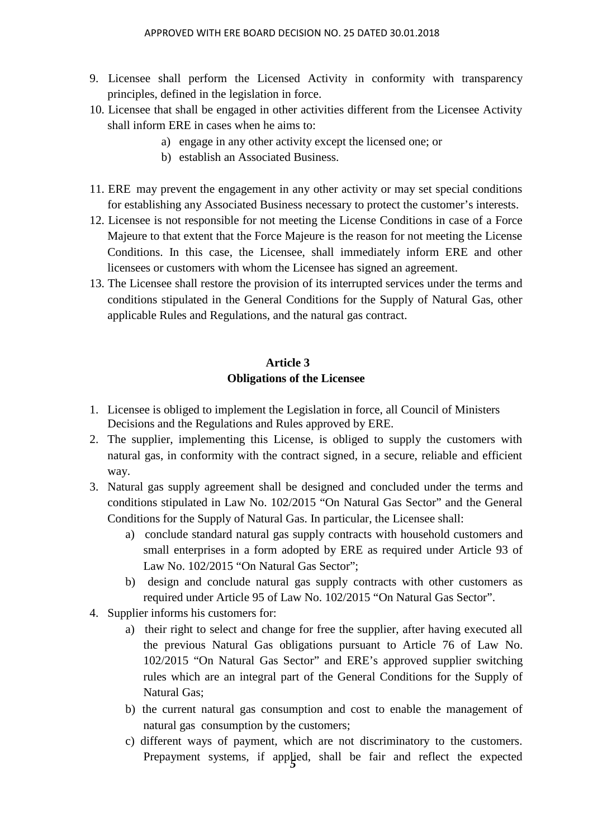- 9. Licensee shall perform the Licensed Activity in conformity with transparency principles, defined in the legislation in force.
- 10. Licensee that shall be engaged in other activities different from the Licensee Activity shall inform ERE in cases when he aims to:
	- a) engage in any other activity except the licensed one; or
	- b) establish an Associated Business.
- 11. ERE may prevent the engagement in any other activity or may set special conditions for establishing any Associated Business necessary to protect the customer's interests.
- 12. Licensee is not responsible for not meeting the License Conditions in case of a Force Majeure to that extent that the Force Majeure is the reason for not meeting the License Conditions. In this case, the Licensee, shall immediately inform ERE and other licensees or customers with whom the Licensee has signed an agreement.
- 13. The Licensee shall restore the provision of its interrupted services under the terms and conditions stipulated in the General Conditions for the Supply of Natural Gas, other applicable Rules and Regulations, and the natural gas contract.

# **Article 3 Obligations of the Licensee**

- 1. Licensee is obliged to implement the Legislation in force, all Council of Ministers Decisions and the Regulations and Rules approved by ERE.
- 2. The supplier, implementing this License, is obliged to supply the customers with natural gas, in conformity with the contract signed, in a secure, reliable and efficient way.
- 3. Natural gas supply agreement shall be designed and concluded under the terms and conditions stipulated in Law No. 102/2015 "On Natural Gas Sector" and the General Conditions for the Supply of Natural Gas. In particular, the Licensee shall:
	- a) conclude standard natural gas supply contracts with household customers and small enterprises in a form adopted by ERE as required under Article 93 of Law No. 102/2015 "On Natural Gas Sector";
	- b) design and conclude natural gas supply contracts with other customers as required under Article 95 of Law No. 102/2015 "On Natural Gas Sector".
- 4. Supplier informs his customers for:
	- a) their right to select and change for free the supplier, after having executed all the previous Natural Gas obligations pursuant to Article 76 of Law No. 102/2015 "On Natural Gas Sector" and ERE's approved supplier switching rules which are an integral part of the General Conditions for the Supply of Natural Gas;
	- b) the current natural gas consumption and cost to enable the management of natural gas consumption by the customers;
	- Prepayment systems, if applied, shall be fair and reflect the expected c) different ways of payment, which are not discriminatory to the customers.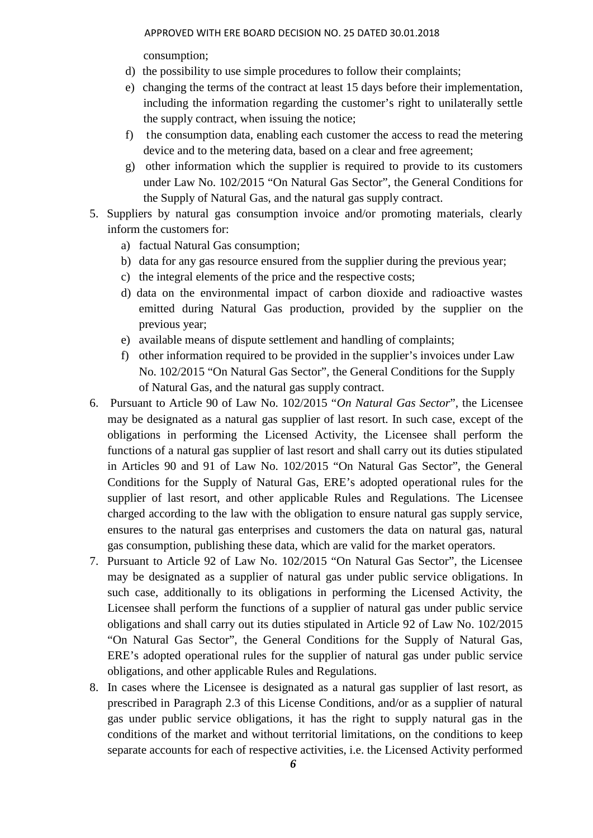consumption;

- d) the possibility to use simple procedures to follow their complaints;
- e) changing the terms of the contract at least 15 days before their implementation, including the information regarding the customer's right to unilaterally settle the supply contract, when issuing the notice;
- f) the consumption data, enabling each customer the access to read the metering device and to the metering data, based on a clear and free agreement;
- g) other information which the supplier is required to provide to its customers under Law No. 102/2015 "On Natural Gas Sector", the General Conditions for the Supply of Natural Gas, and the natural gas supply contract.
- 5. Suppliers by natural gas consumption invoice and/or promoting materials, clearly inform the customers for:
	- a) factual Natural Gas consumption;
	- b) data for any gas resource ensured from the supplier during the previous year;
	- c) the integral elements of the price and the respective costs;
	- d) data on the environmental impact of carbon dioxide and radioactive wastes emitted during Natural Gas production, provided by the supplier on the previous year;
	- e) available means of dispute settlement and handling of complaints;
	- f) other information required to be provided in the supplier's invoices under Law No. 102/2015 "On Natural Gas Sector", the General Conditions for the Supply of Natural Gas, and the natural gas supply contract.
- 6. Pursuant to Article 90 of Law No. 102/2015 "*On Natural Gas Sector*", the Licensee may be designated as a natural gas supplier of last resort. In such case, except of the obligations in performing the Licensed Activity, the Licensee shall perform the functions of a natural gas supplier of last resort and shall carry out its duties stipulated in Articles 90 and 91 of Law No. 102/2015 "On Natural Gas Sector", the General Conditions for the Supply of Natural Gas, ERE's adopted operational rules for the supplier of last resort, and other applicable Rules and Regulations. The Licensee charged according to the law with the obligation to ensure natural gas supply service, ensures to the natural gas enterprises and customers the data on natural gas, natural gas consumption, publishing these data, which are valid for the market operators.
- 7. Pursuant to Article 92 of Law No. 102/2015 "On Natural Gas Sector", the Licensee may be designated as a supplier of natural gas under public service obligations. In such case, additionally to its obligations in performing the Licensed Activity, the Licensee shall perform the functions of a supplier of natural gas under public service obligations and shall carry out its duties stipulated in Article 92 of Law No. 102/2015 "On Natural Gas Sector", the General Conditions for the Supply of Natural Gas, ERE's adopted operational rules for the supplier of natural gas under public service obligations, and other applicable Rules and Regulations.
- 8. In cases where the Licensee is designated as a natural gas supplier of last resort, as prescribed in Paragraph 2.3 of this License Conditions, and/or as a supplier of natural gas under public service obligations, it has the right to supply natural gas in the conditions of the market and without territorial limitations, on the conditions to keep separate accounts for each of respective activities, i.e. the Licensed Activity performed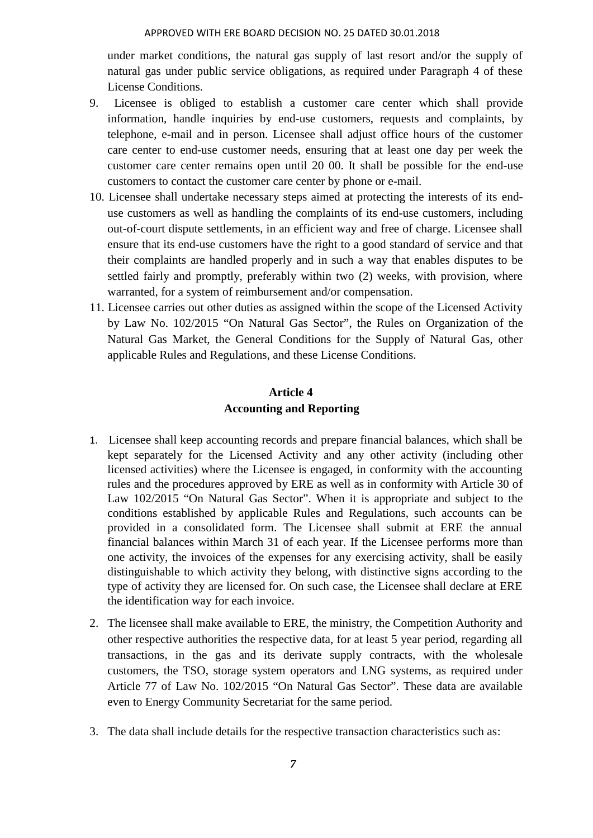#### APPROVED WITH ERE BOARD DECISION NO. 25 DATED 30.01.2018

under market conditions, the natural gas supply of last resort and/or the supply of natural gas under public service obligations, as required under Paragraph 4 of these License Conditions.

- 9. Licensee is obliged to establish a customer care center which shall provide information, handle inquiries by end-use customers, requests and complaints, by telephone, e-mail and in person. Licensee shall adjust office hours of the customer care center to end-use customer needs, ensuring that at least one day per week the customer care center remains open until 20 00. It shall be possible for the end-use customers to contact the customer care center by phone or e-mail.
- 10. Licensee shall undertake necessary steps aimed at protecting the interests of its end use customers as well as handling the complaints of its end-use customers, including out-of-court dispute settlements, in an efficient way and free of charge. Licensee shall ensure that its end-use customers have the right to a good standard of service and that their complaints are handled properly and in such a way that enables disputes to be settled fairly and promptly, preferably within two (2) weeks, with provision, where warranted, for a system of reimbursement and/or compensation.
- 11. Licensee carries out other duties as assigned within the scope of the Licensed Activity by Law No. 102/2015 "On Natural Gas Sector", the Rules on Organization of the Natural Gas Market, the General Conditions for the Supply of Natural Gas, other applicable Rules and Regulations, and these License Conditions.

# **Article 4 Accounting and Reporting**

- 1. Licensee shall keep accounting records and prepare financial balances, which shall be kept separately for the Licensed Activity and any other activity (including other licensed activities) where the Licensee is engaged, in conformity with the accounting rules and the procedures approved by ERE as well as in conformity with Article 30 of Law 102/2015 "On Natural Gas Sector". When it is appropriate and subject to the conditions established by applicable Rules and Regulations, such accounts can be provided in a consolidated form. The Licensee shall submit at ERE the annual financial balances within March 31 of each year. If the Licensee performs more than one activity, the invoices of the expenses for any exercising activity, shall be easily distinguishable to which activity they belong, with distinctive signs according to the type of activity they are licensed for. On such case, the Licensee shall declare at ERE the identification way for each invoice.
- 2. The licensee shall make available to ERE, the ministry, the Competition Authority and other respective authorities the respective data, for at least 5 year period, regarding all transactions, in the gas and its derivate supply contracts, with the wholesale customers, the TSO, storage system operators and LNG systems, as required under Article 77 of Law No. 102/2015 "On Natural Gas Sector". These data are available even to Energy Community Secretariat for the same period.
- 3. The data shall include details for the respective transaction characteristics such as: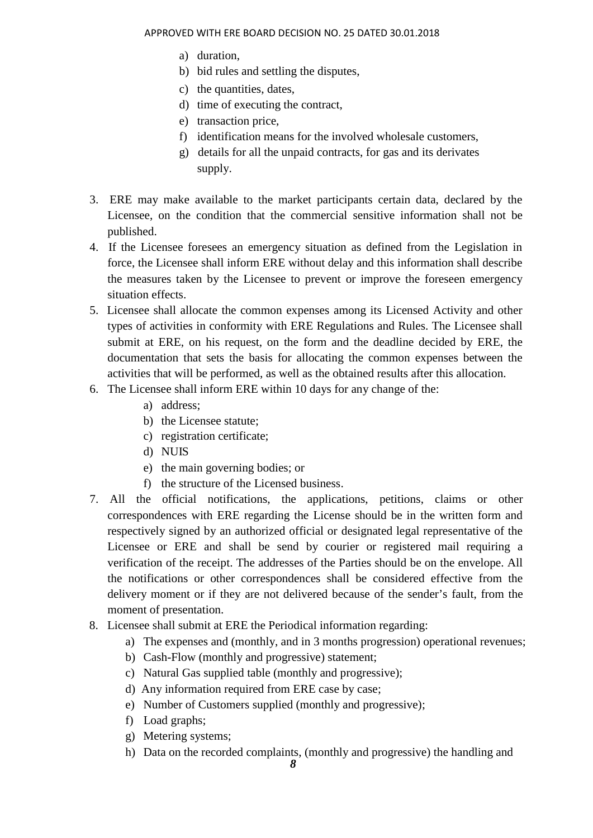- a) duration,
- b) bid rules and settling the disputes,
- c) the quantities, dates,
- d) time of executing the contract,
- e) transaction price,
- f) identification means for the involved wholesale customers,
- g) details for all the unpaid contracts, for gas and its derivates supply.
- 3. ERE may make available to the market participants certain data, declared by the Licensee, on the condition that the commercial sensitive information shall not be published.
- 4. If the Licensee foresees an emergency situation as defined from the Legislation in force, the Licensee shall inform ERE without delay and this information shall describe the measures taken by the Licensee to prevent or improve the foreseen emergency situation effects.
- 5. Licensee shall allocate the common expenses among its Licensed Activity and other types of activities in conformity with ERE Regulations and Rules. The Licensee shall submit at ERE, on his request, on the form and the deadline decided by ERE, the documentation that sets the basis for allocating the common expenses between the activities that will be performed, as well as the obtained results after this allocation.
- 6. The Licensee shall inform ERE within 10 days for any change of the:
	- a) address;
	- b) the Licensee statute;
	- c) registration certificate;
	- d) NUIS
	- e) the main governing bodies; or
	- f) the structure of the Licensed business.
- 7. All the official notifications, the applications, petitions, claims or other correspondences with ERE regarding the License should be in the written form and respectively signed by an authorized official or designated legal representative of the Licensee or ERE and shall be send by courier or registered mail requiring a verification of the receipt. The addresses of the Parties should be on the envelope. All the notifications or other correspondences shall be considered effective from the delivery moment or if they are not delivered because of the sender's fault, from the moment of presentation.
- 8. Licensee shall submit at ERE the Periodical information regarding:
	- a) The expenses and (monthly, and in 3 months progression) operational revenues;
	- b) Cash-Flow (monthly and progressive) statement;
	- c) Natural Gas supplied table (monthly and progressive);
	- d) Any information required from ERE case by case;
	- e) Number of Customers supplied (monthly and progressive);
	- f) Load graphs;
	- g) Metering systems;
	- h) Data on the recorded complaints, (monthly and progressive) the handling and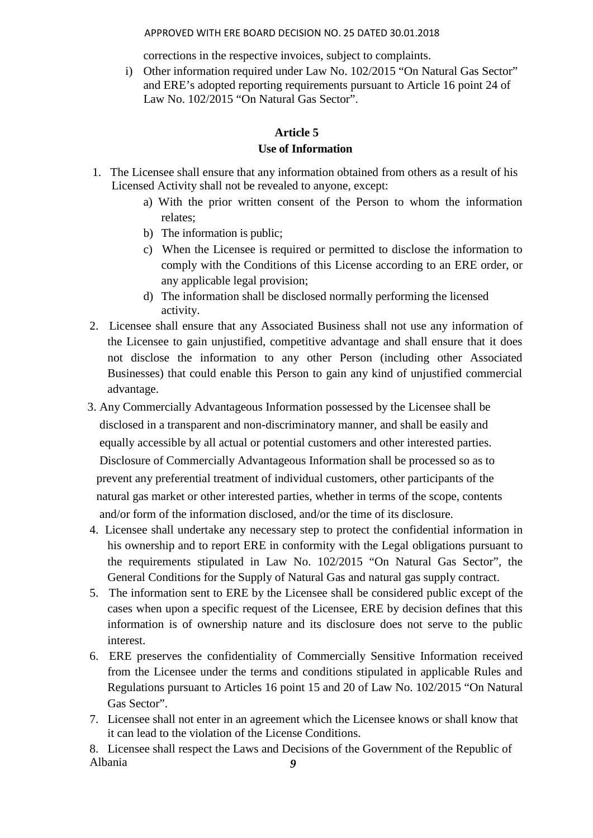APPROVED WITH ERE BOARD DECISION NO. 25 DATED 30.01.2018

corrections in the respective invoices, subject to complaints.

i) Other information required under Law No. 102/2015 "On Natural Gas Sector" and ERE's adopted reporting requirements pursuant to Article 16 point 24 of Law No. 102/2015 "On Natural Gas Sector".

### **Article 5**

### **Use of Information**

- 1. The Licensee shall ensure that any information obtained from others as a result of his Licensed Activity shall not be revealed to anyone, except:
	- a) With the prior written consent of the Person to whom the information relates;
	- b) The information is public;
	- c) When the Licensee is required or permitted to disclose the information to comply with the Conditions of this License according to an ERE order, or any applicable legal provision;
	- d) The information shall be disclosed normally performing the licensed activity.
- 2. Licensee shall ensure that any Associated Business shall not use any information of the Licensee to gain unjustified, competitive advantage and shall ensure that it does not disclose the information to any other Person (including other Associated Businesses) that could enable this Person to gain any kind of unjustified commercial advantage.
- 3. Any Commercially Advantageous Information possessed by the Licensee shall be disclosed in a transparent and non-discriminatory manner, and shall be easily and equally accessible by all actual or potential customers and other interested parties. Disclosure of Commercially Advantageous Information shall be processed so as to prevent any preferential treatment of individual customers, other participants of the natural gas market or other interested parties, whether in terms of the scope, contents and/or form of the information disclosed, and/or the time of its disclosure.
- 4. Licensee shall undertake any necessary step to protect the confidential information in his ownership and to report ERE in conformity with the Legal obligations pursuant to the requirements stipulated in Law No. 102/2015 "On Natural Gas Sector", the General Conditions for the Supply of Natural Gas and natural gas supply contract.
- 5. The information sent to ERE by the Licensee shall be considered public except of the cases when upon a specific request of the Licensee, ERE by decision defines that this information is of ownership nature and its disclosure does not serve to the public interest.
- 6. ERE preserves the confidentiality of Commercially Sensitive Information received from the Licensee under the terms and conditions stipulated in applicable Rules and Regulations pursuant to Articles 16 point 15 and 20 of Law No. 102/2015 "On Natural Gas Sector".
- 7. Licensee shall not enter in an agreement which the Licensee knows or shall know that it can lead to the violation of the License Conditions.

*9* 8. Licensee shall respect the Laws and Decisions of the Government of the Republic of Albania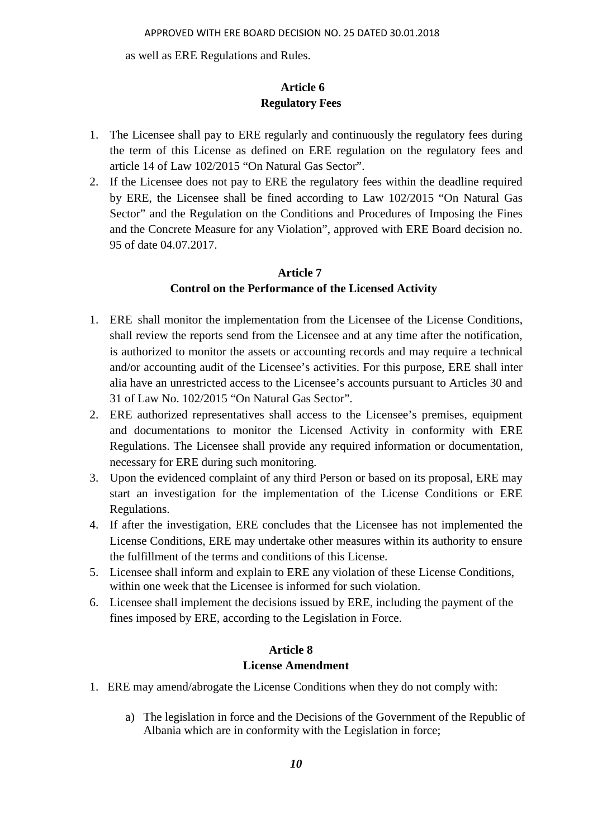as well as ERE Regulations and Rules.

# **Article 6 Regulatory Fees**

- 1. The Licensee shall pay to ERE regularly and continuously the regulatory fees during the term of this License as defined on ERE regulation on the regulatory fees and article 14 of Law 102/2015 "On Natural Gas Sector".
- 2. If the Licensee does not pay to ERE the regulatory fees within the deadline required by ERE, the Licensee shall be fined according to Law 102/2015 "On Natural Gas Sector" and the Regulation on the Conditions and Procedures of Imposing the Fines and the Concrete Measure for any Violation", approved with ERE Board decision no. 95 of date 04.07.2017.

# **Article 7 Control on the Performance of the Licensed Activity**

- 1. ERE shall monitor the implementation from the Licensee of the License Conditions, shall review the reports send from the Licensee and at any time after the notification, is authorized to monitor the assets or accounting records and may require a technical and/or accounting audit of the Licensee's activities. For this purpose, ERE shall inter alia have an unrestricted access to the Licensee's accounts pursuant to Articles 30 and 31 of Law No. 102/2015 "On Natural Gas Sector".
- 2. ERE authorized representatives shall access to the Licensee's premises, equipment and documentations to monitor the Licensed Activity in conformity with ERE Regulations. The Licensee shall provide any required information or documentation, necessary for ERE during such monitoring.
- 3. Upon the evidenced complaint of any third Person or based on its proposal, ERE may start an investigation for the implementation of the License Conditions or ERE Regulations.
- 4. If after the investigation, ERE concludes that the Licensee has not implemented the License Conditions, ERE may undertake other measures within its authority to ensure the fulfillment of the terms and conditions of this License.
- 5. Licensee shall inform and explain to ERE any violation of these License Conditions, within one week that the Licensee is informed for such violation.
- 6. Licensee shall implement the decisions issued by ERE, including the payment of the fines imposed by ERE, according to the Legislation in Force.

# **Article 8 License Amendment**

- 1. ERE may amend/abrogate the License Conditions when they do not comply with:
	- a) The legislation in force and the Decisions of the Government of the Republic of Albania which are in conformity with the Legislation in force;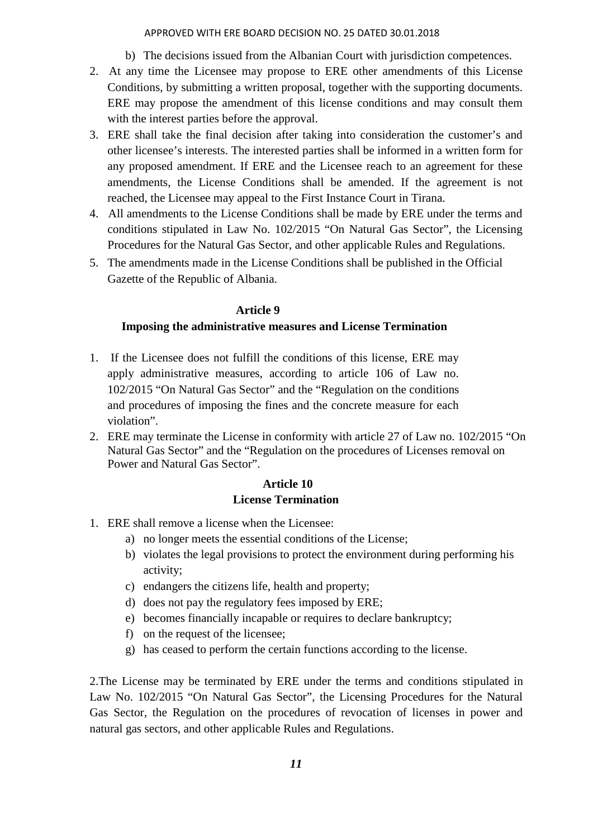#### APPROVED WITH ERE BOARD DECISION NO. 25 DATED 30.01.2018

- b) The decisions issued from the Albanian Court with jurisdiction competences.
- 2. At any time the Licensee may propose to ERE other amendments of this License Conditions, by submitting a written proposal, together with the supporting documents. ERE may propose the amendment of this license conditions and may consult them with the interest parties before the approval.
- 3. ERE shall take the final decision after taking into consideration the customer's and other licensee's interests. The interested parties shall be informed in a written form for any proposed amendment. If ERE and the Licensee reach to an agreement for these amendments, the License Conditions shall be amended. If the agreement is not reached, the Licensee may appeal to the First Instance Court in Tirana.
- 4. All amendments to the License Conditions shall be made by ERE under the terms and conditions stipulated in Law No. 102/2015 "On Natural Gas Sector", the Licensing Procedures for the Natural Gas Sector, and other applicable Rules and Regulations.
- 5. The amendments made in the License Conditions shall be published in the Official Gazette of the Republic of Albania.

#### **Article 9**

### **Imposing the administrative measures and License Termination**

- 1. If the Licensee does not fulfill the conditions of this license, ERE may apply administrative measures, according to article 106 of Law no. 102/2015 "On Natural Gas Sector" and the "Regulation on the conditions and procedures of imposing the fines and the concrete measure for each violation".
- 2. ERE may terminate the License in conformity with article 27 of Law no. 102/2015 "On Natural Gas Sector" and the "Regulation on the procedures of Licenses removal on Power and Natural Gas Sector".

### **Article 10 License Termination**

- 1. ERE shall remove a license when the Licensee:
	- a) no longer meets the essential conditions of the License;
	- b) violates the legal provisions to protect the environment during performing his activity;
	- c) endangers the citizens life, health and property;
	- d) does not pay the regulatory fees imposed by ERE;
	- e) becomes financially incapable or requires to declare bankruptcy;
	- f) on the request of the licensee;
	- g) has ceased to perform the certain functions according to the license.

2.The License may be terminated by ERE under the terms and conditions stipulated in Law No. 102/2015 "On Natural Gas Sector", the Licensing Procedures for the Natural Gas Sector, the Regulation on the procedures of revocation of licenses in power and natural gas sectors, and other applicable Rules and Regulations.